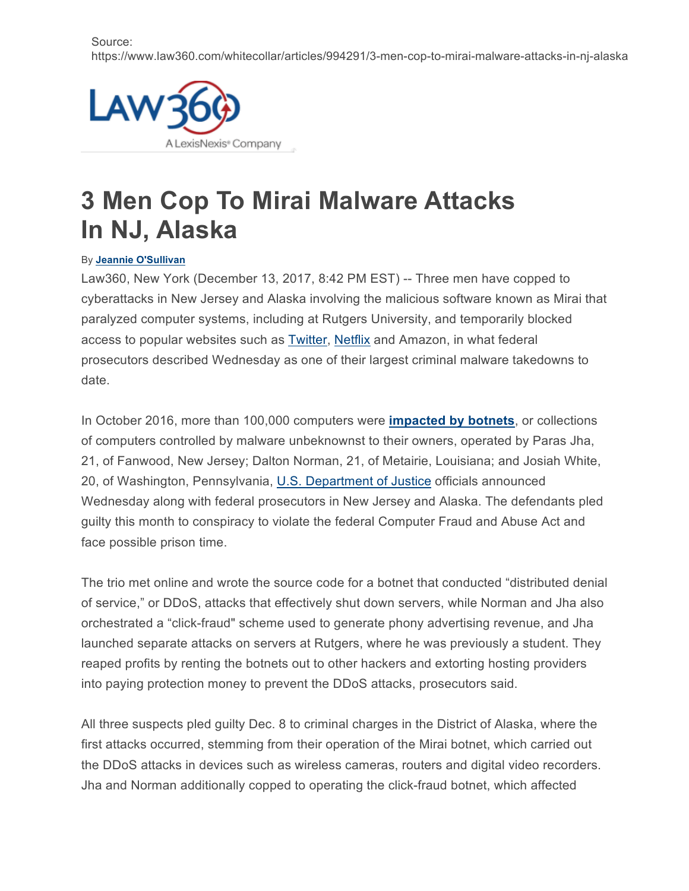Source: https://www.law360.com/whitecollar/articles/994291/3-men-cop-to-mirai-malware-attacks-in-nj-alaska



## **3 Men Cop To Mirai Malware Attacks In NJ, Alaska**

## By **Jeannie O'Sullivan**

Law360, New York (December 13, 2017, 8:42 PM EST) -- Three men have copped to cyberattacks in New Jersey and Alaska involving the malicious software known as Mirai that paralyzed computer systems, including at Rutgers University, and temporarily blocked access to popular websites such as **Twitter**, Netflix and Amazon, in what federal prosecutors described Wednesday as one of their largest criminal malware takedowns to date.

In October 2016, more than 100,000 computers were **impacted by botnets**, or collections of computers controlled by malware unbeknownst to their owners, operated by Paras Jha, 21, of Fanwood, New Jersey; Dalton Norman, 21, of Metairie, Louisiana; and Josiah White, 20, of Washington, Pennsylvania, U.S. Department of Justice officials announced Wednesday along with federal prosecutors in New Jersey and Alaska. The defendants pled guilty this month to conspiracy to violate the federal Computer Fraud and Abuse Act and face possible prison time.

The trio met online and wrote the source code for a botnet that conducted "distributed denial of service," or DDoS, attacks that effectively shut down servers, while Norman and Jha also orchestrated a "click-fraud" scheme used to generate phony advertising revenue, and Jha launched separate attacks on servers at Rutgers, where he was previously a student. They reaped profits by renting the botnets out to other hackers and extorting hosting providers into paying protection money to prevent the DDoS attacks, prosecutors said.

All three suspects pled guilty Dec. 8 to criminal charges in the District of Alaska, where the first attacks occurred, stemming from their operation of the Mirai botnet, which carried out the DDoS attacks in devices such as wireless cameras, routers and digital video recorders. Jha and Norman additionally copped to operating the click-fraud botnet, which affected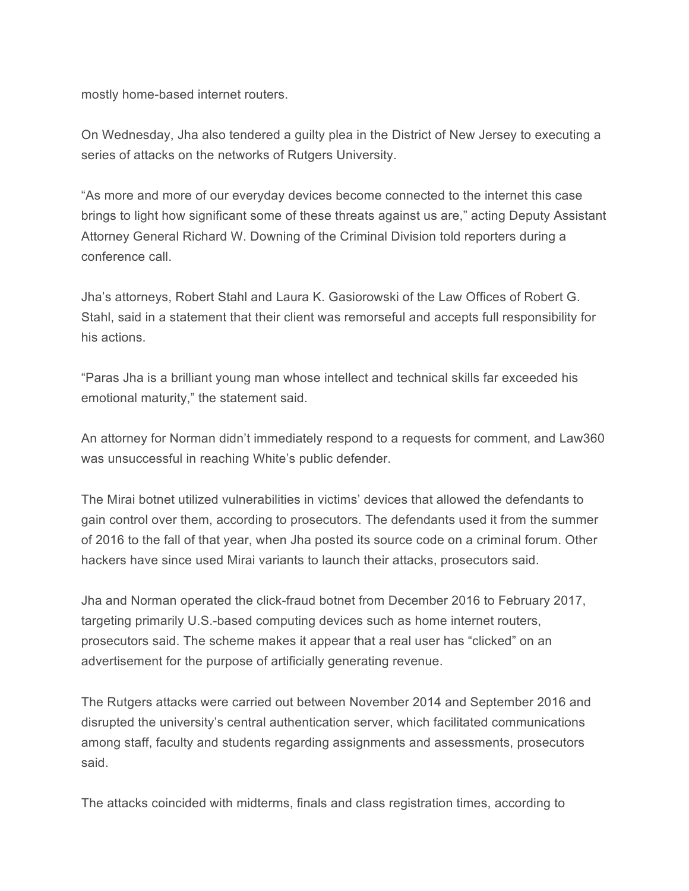mostly home-based internet routers.

On Wednesday, Jha also tendered a guilty plea in the District of New Jersey to executing a series of attacks on the networks of Rutgers University.

"As more and more of our everyday devices become connected to the internet this case brings to light how significant some of these threats against us are," acting Deputy Assistant Attorney General Richard W. Downing of the Criminal Division told reporters during a conference call.

Jha's attorneys, Robert Stahl and Laura K. Gasiorowski of the Law Offices of Robert G. Stahl, said in a statement that their client was remorseful and accepts full responsibility for his actions.

"Paras Jha is a brilliant young man whose intellect and technical skills far exceeded his emotional maturity," the statement said.

An attorney for Norman didn't immediately respond to a requests for comment, and Law360 was unsuccessful in reaching White's public defender.

The Mirai botnet utilized vulnerabilities in victims' devices that allowed the defendants to gain control over them, according to prosecutors. The defendants used it from the summer of 2016 to the fall of that year, when Jha posted its source code on a criminal forum. Other hackers have since used Mirai variants to launch their attacks, prosecutors said.

Jha and Norman operated the click-fraud botnet from December 2016 to February 2017, targeting primarily U.S.-based computing devices such as home internet routers, prosecutors said. The scheme makes it appear that a real user has "clicked" on an advertisement for the purpose of artificially generating revenue.

The Rutgers attacks were carried out between November 2014 and September 2016 and disrupted the university's central authentication server, which facilitated communications among staff, faculty and students regarding assignments and assessments, prosecutors said.

The attacks coincided with midterms, finals and class registration times, according to